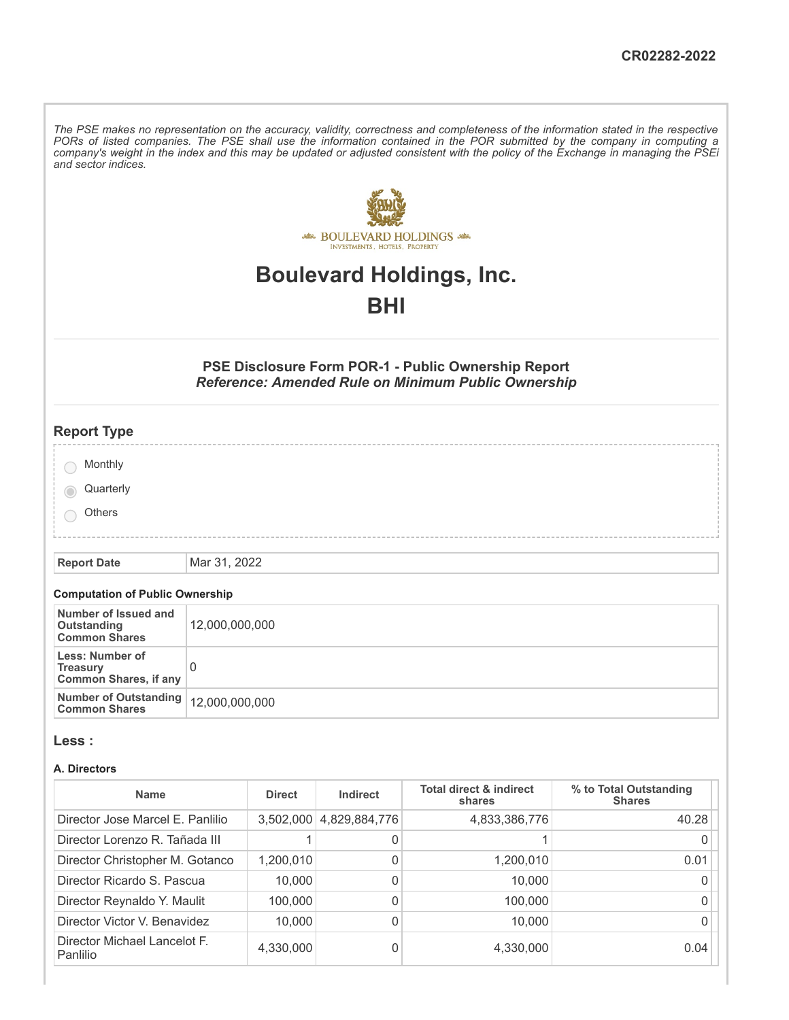The PSE makes no representation on the accuracy, validity, correctness and completeness of the information stated in the respective PORs of listed companies. The PSE shall use the information contained in the POR submitted by the company in computing a company's weight in the index and this may be updated or adjusted consistent with the policy of the Exchange in managing the PSEi *and sector indices.*



# **Boulevard Holdings, Inc.**

# **BHI**

# **PSE Disclosure Form POR-1 - Public Ownership Report** *Reference: Amended Rule on Minimum Public Ownership*

| <b>Report Type</b> |  |
|--------------------|--|
| Monthly            |  |
| Quarterly          |  |
| Others             |  |
|                    |  |

**Report Date** Mar 31, 2022

### **Computation of Public Ownership**

| Number of Issued and<br>Outstanding<br><b>Common Shares</b>        | 12,000,000,000 |
|--------------------------------------------------------------------|----------------|
| Less: Number of<br><b>Treasury</b><br><b>Common Shares, if any</b> |                |
| Number of Outstanding   12,000,000,000<br><b>Common Shares</b>     |                |

#### **Less :**

#### **A. Directors**

| <b>Name</b>                              | <b>Direct</b> | Indirect      | <b>Total direct &amp; indirect</b><br>shares | % to Total Outstanding<br><b>Shares</b> |
|------------------------------------------|---------------|---------------|----------------------------------------------|-----------------------------------------|
| Director Jose Marcel E. Panlilio         | 3,502,000     | 4,829,884,776 | 4,833,386,776                                | 40.28                                   |
| Director Lorenzo R. Tañada III           |               | 0             |                                              |                                         |
| Director Christopher M. Gotanco          | 1,200,010     | 0             | 1,200,010                                    | 0.01                                    |
| Director Ricardo S. Pascua               | 10,000        | 0             | 10,000                                       |                                         |
| Director Reynaldo Y. Maulit              | 100,000       | 0             | 100,000                                      |                                         |
| Director Victor V. Benavidez             | 10,000        | 0             | 10,000                                       |                                         |
| Director Michael Lancelot F.<br>Panlilio | 4,330,000     | 0             | 4,330,000                                    | 0.04                                    |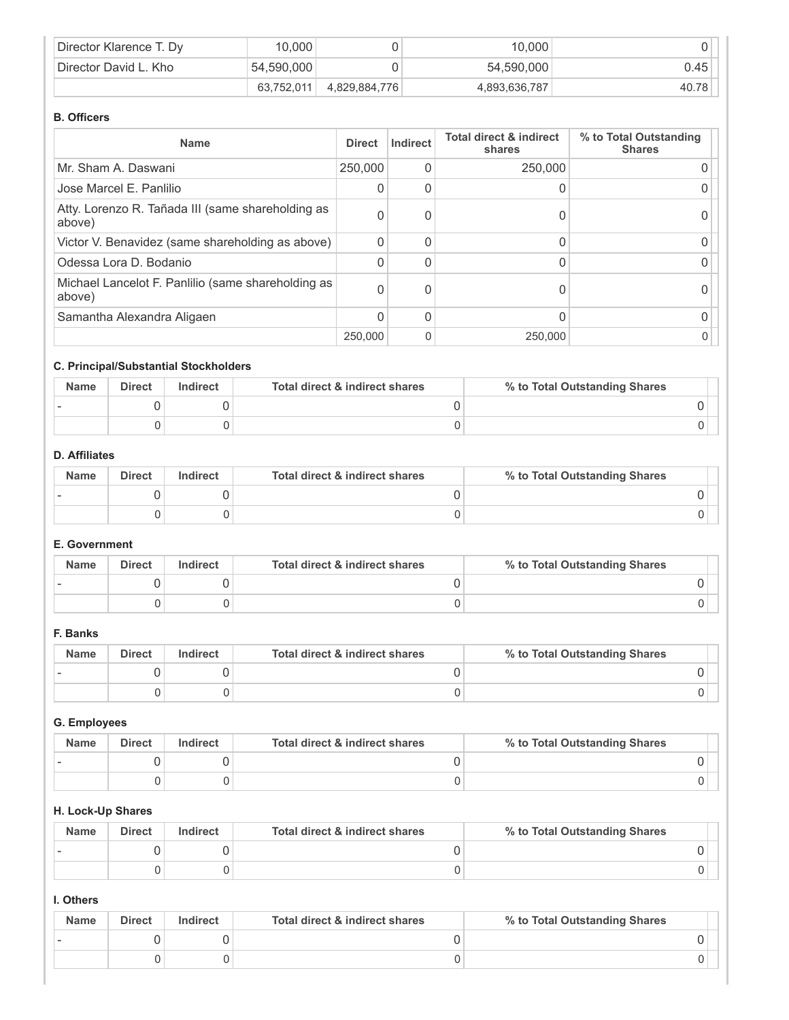| Director Klarence T. Dy | 10.000     |               | 10.000        |       |
|-------------------------|------------|---------------|---------------|-------|
| Director David L. Kho   | 54,590,000 |               | 54,590,000    | 0.45  |
|                         | 63.752.011 | 4,829,884,776 | 4,893,636,787 | 40.78 |

### **B. Officers**

| <b>Name</b>                                                  | <b>Direct</b> | Indirect | <b>Total direct &amp; indirect</b><br>shares | % to Total Outstanding<br><b>Shares</b> |
|--------------------------------------------------------------|---------------|----------|----------------------------------------------|-----------------------------------------|
| Mr. Sham A. Daswani                                          | 250,000       |          | 250,000                                      |                                         |
| Jose Marcel E. Panlilio                                      | 0             |          |                                              |                                         |
| Atty. Lorenzo R. Tañada III (same shareholding as<br>above)  | 0             |          |                                              |                                         |
| Victor V. Benavidez (same shareholding as above)             | $\Omega$      |          |                                              |                                         |
| Odessa Lora D. Bodanio                                       | $\Omega$      | ი        |                                              |                                         |
| Michael Lancelot F. Panlilio (same shareholding as<br>above) | 0             | 0        |                                              |                                         |
| Samantha Alexandra Aligaen                                   | $\mathbf{0}$  | ი        |                                              |                                         |
|                                                              | 250,000       | 0        | 250,000                                      |                                         |

# **C. Principal/Substantial Stockholders**

| <b>Name</b> | <b>Direct</b> | Indirect | Total direct & indirect shares | % to Total Outstanding Shares |
|-------------|---------------|----------|--------------------------------|-------------------------------|
|             |               |          |                                |                               |
|             |               |          |                                |                               |

# **D. Affiliates**

| <b>Name</b> | <b>Direct</b> | Indirect | Total direct & indirect shares | % to Total Outstanding Shares |
|-------------|---------------|----------|--------------------------------|-------------------------------|
|             |               |          |                                |                               |
|             |               |          |                                |                               |

# **E. Government**

| <b>Name</b> | <b>Direct</b> | Indirect | Total direct & indirect shares | % to Total Outstanding Shares |
|-------------|---------------|----------|--------------------------------|-------------------------------|
|             |               |          |                                |                               |
|             |               |          |                                |                               |

## **F. Banks**

| <b>Name</b> | <b>Direct</b> | Indirect | Total direct & indirect shares | % to Total Outstanding Shares |
|-------------|---------------|----------|--------------------------------|-------------------------------|
|             |               |          |                                |                               |
|             |               |          |                                |                               |

# **G. Employees**

| <b>Name</b> | <b>Direct</b> | Indirect | Total direct & indirect shares | % to Total Outstanding Shares |
|-------------|---------------|----------|--------------------------------|-------------------------------|
|             |               |          |                                |                               |
|             |               |          |                                |                               |

# **H. Lock-Up Shares**

| <b>Name</b> | <b>Direct</b> | Indirect | Total direct & indirect shares | % to Total Outstanding Shares |
|-------------|---------------|----------|--------------------------------|-------------------------------|
|             |               |          |                                |                               |
|             |               |          |                                |                               |

# **I. Others**

| <b>Name</b> | <b>Direct</b> | <b>Indirect</b> | Total direct & indirect shares | % to Total Outstanding Shares |
|-------------|---------------|-----------------|--------------------------------|-------------------------------|
|             |               |                 |                                |                               |
|             |               |                 |                                |                               |